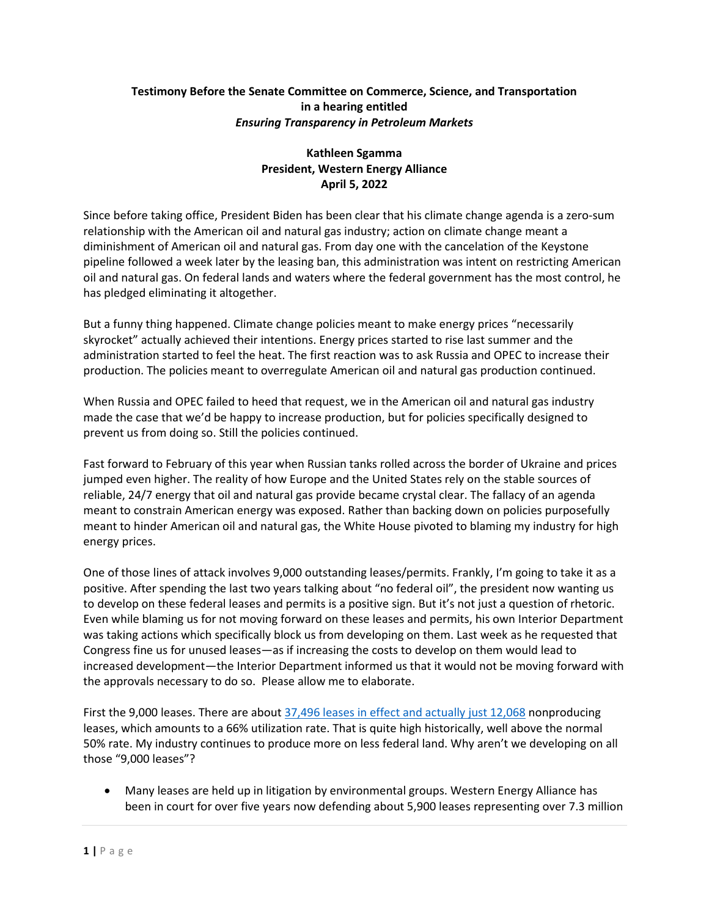## **Testimony Before the Senate Committee on Commerce, Science, and Transportation in a hearing entitled** *Ensuring Transparency in Petroleum Markets*

## **Kathleen Sgamma President, Western Energy Alliance April 5, 2022**

Since before taking office, President Biden has been clear that his climate change agenda is a zero-sum relationship with the American oil and natural gas industry; action on climate change meant a diminishment of American oil and natural gas. From day one with the cancelation of the Keystone pipeline followed a week later by the leasing ban, this administration was intent on restricting American oil and natural gas. On federal lands and waters where the federal government has the most control, he has pledged eliminating it altogether.

But a funny thing happened. Climate change policies meant to make energy prices "necessarily skyrocket" actually achieved their intentions. Energy prices started to rise last summer and the administration started to feel the heat. The first reaction was to ask Russia and OPEC to increase their production. The policies meant to overregulate American oil and natural gas production continued.

When Russia and OPEC failed to heed that request, we in the American oil and natural gas industry made the case that we'd be happy to increase production, but for policies specifically designed to prevent us from doing so. Still the policies continued.

Fast forward to February of this year when Russian tanks rolled across the border of Ukraine and prices jumped even higher. The reality of how Europe and the United States rely on the stable sources of reliable, 24/7 energy that oil and natural gas provide became crystal clear. The fallacy of an agenda meant to constrain American energy was exposed. Rather than backing down on policies purposefully meant to hinder American oil and natural gas, the White House pivoted to blaming my industry for high energy prices.

One of those lines of attack involves 9,000 outstanding leases/permits. Frankly, I'm going to take it as a positive. After spending the last two years talking about "no federal oil", the president now wanting us to develop on these federal leases and permits is a positive sign. But it's not just a question of rhetoric. Even while blaming us for not moving forward on these leases and permits, his own Interior Department was taking actions which specifically block us from developing on them. Last week as he requested that Congress fine us for unused leases—as if increasing the costs to develop on them would lead to increased development—the Interior Department informed us that it would not be moving forward with the approvals necessary to do so. Please allow me to elaborate.

First the 9,000 leases. There are abou[t 37,496 leases in effect and actually just 12,068](https://www.blm.gov/programs-energy-and-minerals-oil-and-gas-oil-and-gas-statistics) nonproducing leases, which amounts to a 66% utilization rate. That is quite high historically, well above the normal 50% rate. My industry continues to produce more on less federal land. Why aren't we developing on all those "9,000 leases"?

• Many leases are held up in litigation by environmental groups. Western Energy Alliance has been in court for over five years now defending about 5,900 leases representing over 7.3 million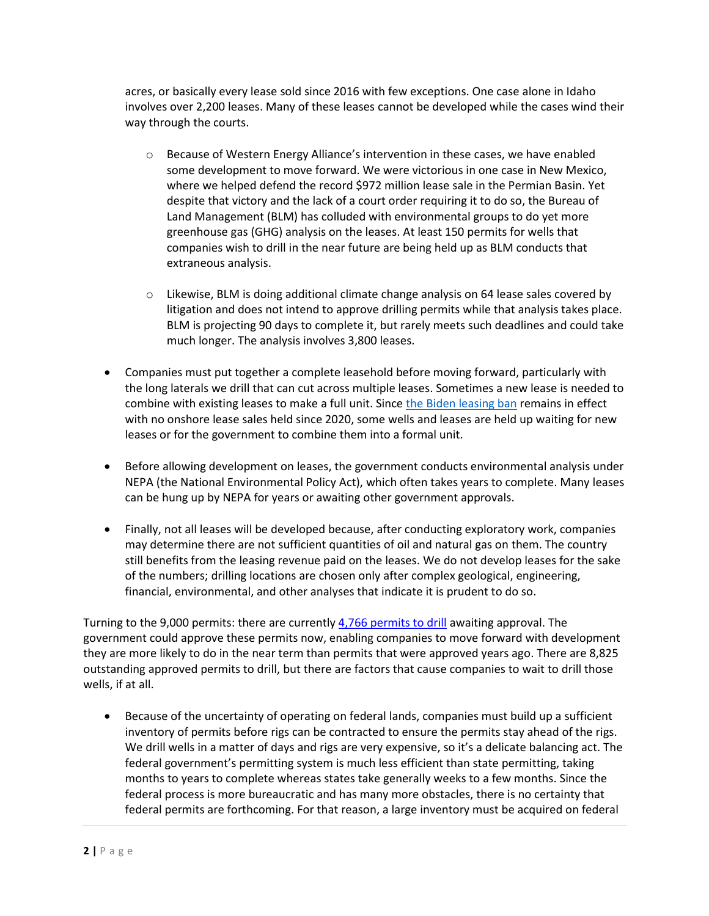acres, or basically every lease sold since 2016 with few exceptions. One case alone in Idaho involves over 2,200 leases. Many of these leases cannot be developed while the cases wind their way through the courts.

- $\circ$  Because of Western Energy Alliance's intervention in these cases, we have enabled some development to move forward. We were victorious in one case in New Mexico, where we helped defend the record \$972 million lease sale in the Permian Basin. Yet despite that victory and the lack of a court order requiring it to do so, the Bureau of Land Management (BLM) has colluded with environmental groups to do yet more greenhouse gas (GHG) analysis on the leases. At least 150 permits for wells that companies wish to drill in the near future are being held up as BLM conducts that extraneous analysis.
- $\circ$  Likewise, BLM is doing additional climate change analysis on 64 lease sales covered by litigation and does not intend to approve drilling permits while that analysis takes place. BLM is projecting 90 days to complete it, but rarely meets such deadlines and could take much longer. The analysis involves 3,800 leases.
- Companies must put together a complete leasehold before moving forward, particularly with the long laterals we drill that can cut across multiple leases. Sometimes a new lease is needed to combine with existing leases to make a full unit. Sinc[e the Biden leasing ban](https://www.westernenergyalliance.org/pressreleases/interior-continues-onshore-leasing-ban-in-defiance-of-court-order) remains in effect with no onshore lease sales held since 2020, some wells and leases are held up waiting for new leases or for the government to combine them into a formal unit.
- Before allowing development on leases, the government conducts environmental analysis under NEPA (the National Environmental Policy Act), which often takes years to complete. Many leases can be hung up by NEPA for years or awaiting other government approvals.
- Finally, not all leases will be developed because, after conducting exploratory work, companies may determine there are not sufficient quantities of oil and natural gas on them. The country still benefits from the leasing revenue paid on the leases. We do not develop leases for the sake of the numbers; drilling locations are chosen only after complex geological, engineering, financial, environmental, and other analyses that indicate it is prudent to do so.

Turning to the 9,000 permits: there are currently [4,766 permits to drill](https://www.blm.gov/sites/blm.gov/files/docs/2022-03/FY%202022%20APD%20Status%20Report%20Feb.pdf) awaiting approval. The government could approve these permits now, enabling companies to move forward with development they are more likely to do in the near term than permits that were approved years ago. There are 8,825 outstanding approved permits to drill, but there are factors that cause companies to wait to drill those wells, if at all.

• Because of the uncertainty of operating on federal lands, companies must build up a sufficient inventory of permits before rigs can be contracted to ensure the permits stay ahead of the rigs. We drill wells in a matter of days and rigs are very expensive, so it's a delicate balancing act. The federal government's permitting system is much less efficient than state permitting, taking months to years to complete whereas states take generally weeks to a few months. Since the federal process is more bureaucratic and has many more obstacles, there is no certainty that federal permits are forthcoming. For that reason, a large inventory must be acquired on federal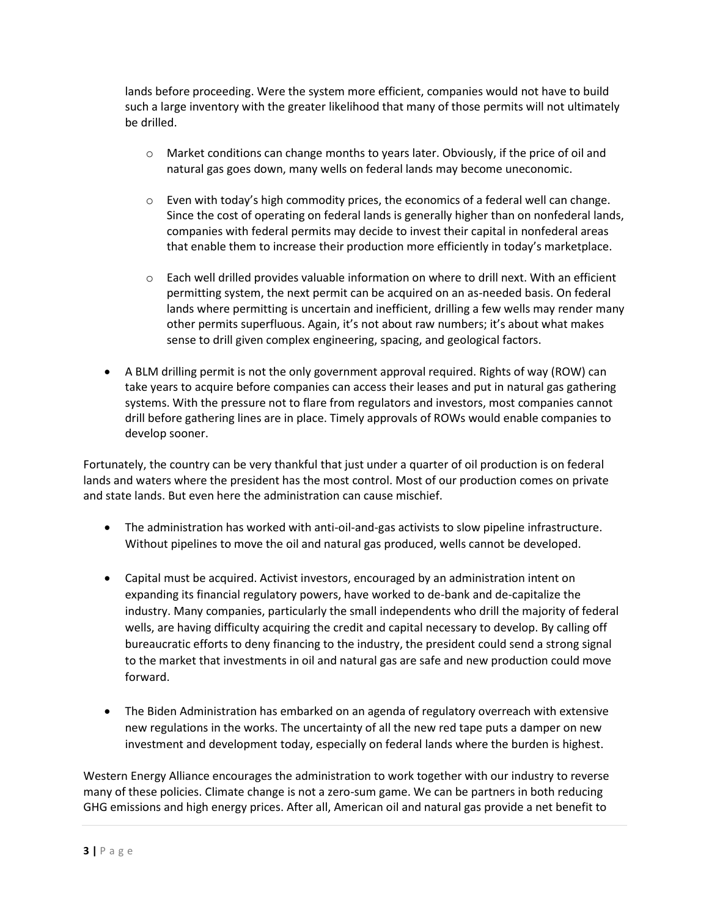lands before proceeding. Were the system more efficient, companies would not have to build such a large inventory with the greater likelihood that many of those permits will not ultimately be drilled.

- $\circ$  Market conditions can change months to years later. Obviously, if the price of oil and natural gas goes down, many wells on federal lands may become uneconomic.
- $\circ$  Even with today's high commodity prices, the economics of a federal well can change. Since the cost of operating on federal lands is generally higher than on nonfederal lands, companies with federal permits may decide to invest their capital in nonfederal areas that enable them to increase their production more efficiently in today's marketplace.
- $\circ$  Each well drilled provides valuable information on where to drill next. With an efficient permitting system, the next permit can be acquired on an as-needed basis. On federal lands where permitting is uncertain and inefficient, drilling a few wells may render many other permits superfluous. Again, it's not about raw numbers; it's about what makes sense to drill given complex engineering, spacing, and geological factors.
- A BLM drilling permit is not the only government approval required. Rights of way (ROW) can take years to acquire before companies can access their leases and put in natural gas gathering systems. With the pressure not to flare from regulators and investors, most companies cannot drill before gathering lines are in place. Timely approvals of ROWs would enable companies to develop sooner.

Fortunately, the country can be very thankful that just under a quarter of oil production is on federal lands and waters where the president has the most control. Most of our production comes on private and state lands. But even here the administration can cause mischief.

- The administration has worked with anti-oil-and-gas activists to slow pipeline infrastructure. Without pipelines to move the oil and natural gas produced, wells cannot be developed.
- Capital must be acquired. Activist investors, encouraged by an administration intent on expanding its financial regulatory powers, have worked to de-bank and de-capitalize the industry. Many companies, particularly the small independents who drill the majority of federal wells, are having difficulty acquiring the credit and capital necessary to develop. By calling off bureaucratic efforts to deny financing to the industry, the president could send a strong signal to the market that investments in oil and natural gas are safe and new production could move forward.
- The Biden Administration has embarked on an agenda of regulatory overreach with extensive new regulations in the works. The uncertainty of all the new red tape puts a damper on new investment and development today, especially on federal lands where the burden is highest.

Western Energy Alliance encourages the administration to work together with our industry to reverse many of these policies. Climate change is not a zero-sum game. We can be partners in both reducing GHG emissions and high energy prices. After all, American oil and natural gas provide a net benefit to